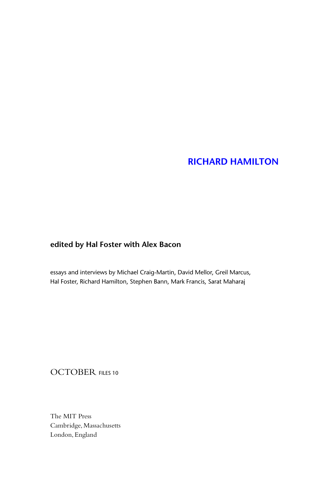## **[RICHARD HAMILTON](http://mitpress.mit.edu/0262013819)**

## **edited by Hal Foster with Alex Bacon**

essays and interviews by Michael Craig-Martin, David Mellor, Greil Marcus, Hal Foster, Richard Hamilton, Stephen Bann, Mark Francis, Sarat Maharaj

## OCTOBER FILES 10

The MIT Press Cambridge, Massachusetts London, England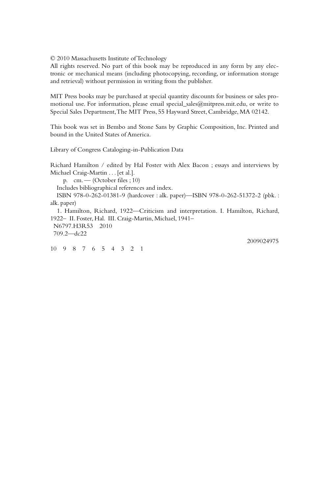© 2010 Massachusetts Institute of Technology

All rights reserved. No part of this book may be reproduced in any form by any electronic or mechanical means (including photocopying, recording, or information storage and retrieval) without permission in writing from the publisher.

MIT Press books may be purchased at special quantity discounts for business or sales promotional use. For information, please email special\_sales@mitpress.mit.edu, or write to Special Sales Department, The MIT Press, 55 Hayward Street, Cambridge, MA 02142.

This book was set in Bembo and Stone Sans by Graphic Composition, Inc. Printed and bound in the United States of America.

Library of Congress Cataloging-in-Publication Data

Richard Hamilton / edited by Hal Foster with Alex Bacon ; essays and interviews by Michael Craig-Martin . . . [et al.]. p.  $cm.$  — (October files ; 10) Includes bibliographical references and index. ISBN 978-0-262-01381-9 (hardcover : alk. paper)—ISBN 978-0-262-51372-2 (pbk. : alk. paper) 1. Hamilton, Richard, 1922—Criticism and interpretation. I. Hamilton, Richard, 1922– II. Foster, Hal. III. Craig-Martin, Michael, 1941– N6797.H3R53 2010 709.2—dc22 2009024975

10 9 8 7 6 5 4 3 2 1